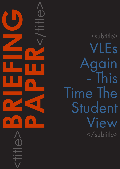<subtitle> VLEs ain - This Time The Student View </subtitle>

<title>**BRIEFING**

**PAPER**<br>CONSTRAINS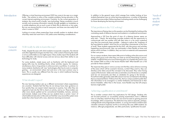#### CAPDM Ltd. CAPDM Ltd.

#### Introduction **Offering a virtual learning environment (VLE)** has come to be seen as a magic bullet – the solution to many of the complex problems facing education in the current Internet exploiting environment. Certainly, for the current generation of students, the virtual world is hardly 'new technology'. Being constantly in touch socially and accessing information instantly through gadgets as immediate as a mobile telephone are as much a part of daily life as electricity or hot water. But can we assume that this is true for everyone, and does one size really fit all when it comes to VIFs?

Looking at surveys where researchers have actually spoken to students about what they need and want from a VLE yields some interesting considerations.

Firstly, despite the ease with which students incorporate computers, the internet and other digital technologies into their lives, in the context of learning the match is not as comfortable as one might expect. Many studies report that students still have difficulties with internet access and are nervous about their ability to use technology for study.

For some students, simple issues such as familiarity with the keyboard and typing skills may be stumbling blocks where activities require, for instance, simultaneous chat or long entries in online journals or portfolios. In contrast, for many students, familiarity with 'new' technologies often has its roots in computer gaming – an environment where trial and error is the most common way to learn. This is usually very different from the way in which traditional learning experiences are designed.

## What should I expect?

The new learning medium sets up a different environment where expectations are uncertain. Students feel that they do not always have clear guidance on how quickly they can expect instant responses to queries, how often they are required to look into the VLE to check on activity, and so on. These matters are often more clearly spelled out for conventional timetables, lectures, seminars and tutorials. Indeed, even if they are not, students have a certain 'vision' of what traditional education is like and can find their way around the system more easily than when faced with a new, electronic learning environment.

Needs of specific student groups

In addition to the general issues which emerge from studies looking at how students themselves view an online learning experience, a number of interesting contrasts become evident. Balancing these contrasting needs can be challenging for those developing the learning environment.

## **General** concern

# Will I really be able to learn this way?

# What problem is the VLE solving?

The importance of being clear on this question can be illustrated by looking at the contrasting needs of distance learners and students in a traditional environment.

Approaching a VLE from the point of view of a distance learner seems an easy task – clearly, the technology provides students with the opportunity to communicate with one another and with their tutors in a far more contextual way than has previously been possible – helping to reduce the 'loneliness of the long distance student' which has for so long been characteristic of this form of study. These students appreciate the fact that, with discussions and activities happening asynchronously, they can participate in them flexibly at times and places which suit them. In addition, they can work on materials and assessments at their own pace.

For on-campus students, there seems little point in holding online discussions and doing online group work when they can meet up and do these things in person. Indeed, it might be that just as much learning goes on in heated discussions over the canteen table as does in the lecture theatre itself. What benefit can a VLE provide for these students?

The responses they give in various surveys are that they value advance warning of the areas which will be covered in lectures, so that if they want to, they can develop some ideas around the concepts to be discussed. They value having copies of the lecturers' slides and notes as reminders once the lecture is complete (and do not necessarily see them as substitutes for going to the lectures – PowerPoint slides generally make little sense if one has not listened to the talking that accompanied them). It follows from this, that on-campus students prefer their VLE information to be arranged in a similar timeframe and framework to their lecture timetable, rather than in the looser, more flexible way that off-campus learners might prefer.

## Achieving a qualification or enrichment?

This is another contrast which has implications for VLE design. Students who are focused primarily on successfully passing examinations have a different view on what they need from those who are more focused on gaining personal knowledge, skills or experience. This distinction may seem to separate, perhaps, undergraduate and postgraduate students, or young and mature students (also valuable contrasts to explore), but this is not always the case. MBA students, for instance, although postgraduate, are often particularly 'qualification focused'.